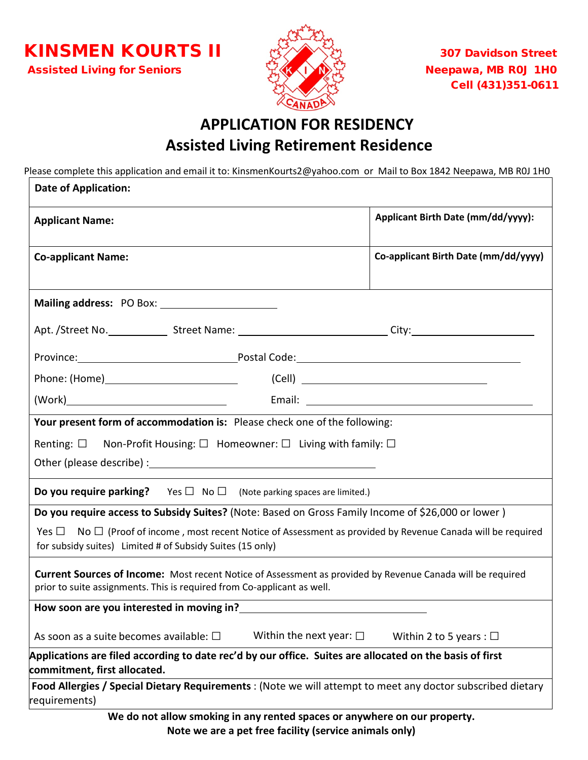**KINSMEN KOURTS II**  $\mathbb{R}^3$   $\mathbb{R}^3$  307 Davidson Street Assisted Living for Seniors  $\mathbb{R}^7$  (K  $\sqrt{N}$ )  $\mathbb{R}^7$  Neepawa, MB R0J 1H0



Cell (431)351-0611

## **APPLICATION FOR RESIDENCY Assisted Living Retirement Residence**

Please complete this application and email it to: KinsmenKourts2@yahoo.com or Mail to Box 1842 Neepawa, MB R0J 1H0

| <b>Date of Application:</b>                                                                                                                                                                                                                                                                                                           |                                      |
|---------------------------------------------------------------------------------------------------------------------------------------------------------------------------------------------------------------------------------------------------------------------------------------------------------------------------------------|--------------------------------------|
| <b>Applicant Name:</b>                                                                                                                                                                                                                                                                                                                | Applicant Birth Date (mm/dd/yyyy):   |
| <b>Co-applicant Name:</b>                                                                                                                                                                                                                                                                                                             | Co-applicant Birth Date (mm/dd/yyyy) |
|                                                                                                                                                                                                                                                                                                                                       |                                      |
| Apt. /Street No. ______________Street Name: _______________________________City:______________________________                                                                                                                                                                                                                        |                                      |
|                                                                                                                                                                                                                                                                                                                                       |                                      |
|                                                                                                                                                                                                                                                                                                                                       | $(Cell)$ $\qquad \qquad \qquad$      |
|                                                                                                                                                                                                                                                                                                                                       |                                      |
| Renting: $\square$ Non-Profit Housing: $\square$ Homeowner: $\square$ Living with family: $\square$<br>Other (please describe) : Manual Assembly of the Contract of the Contract of the Contract of the Contract of the Contract of the Contract of the Contract of the Contract of the Contract of the Contract of the Contract of t |                                      |
| <b>Do you require parking?</b> Yes $\Box$ No $\Box$ (Note parking spaces are limited.)                                                                                                                                                                                                                                                |                                      |
| Do you require access to Subsidy Suites? (Note: Based on Gross Family Income of \$26,000 or lower)<br>No $\Box$ (Proof of income, most recent Notice of Assessment as provided by Revenue Canada will be required<br>Yes $\Box$<br>for subsidy suites) Limited # of Subsidy Suites (15 only)                                          |                                      |
| Current Sources of Income: Most recent Notice of Assessment as provided by Revenue Canada will be required<br>prior to suite assignments. This is required from Co-applicant as well.                                                                                                                                                 |                                      |
| How soon are you interested in moving in?                                                                                                                                                                                                                                                                                             |                                      |
| Within the next year: $\square$<br>As soon as a suite becomes available: $\square$                                                                                                                                                                                                                                                    | Within 2 to 5 years : $\Box$         |
| Applications are filed according to date rec'd by our office. Suites are allocated on the basis of first<br>commitment, first allocated.                                                                                                                                                                                              |                                      |
| Food Allergies / Special Dietary Requirements : (Note we will attempt to meet any doctor subscribed dietary<br>requirements)                                                                                                                                                                                                          |                                      |
| We do not allow smoking in any rented spaces or anywhere on our property.<br>Note we are a pet free facility (service animals only)                                                                                                                                                                                                   |                                      |